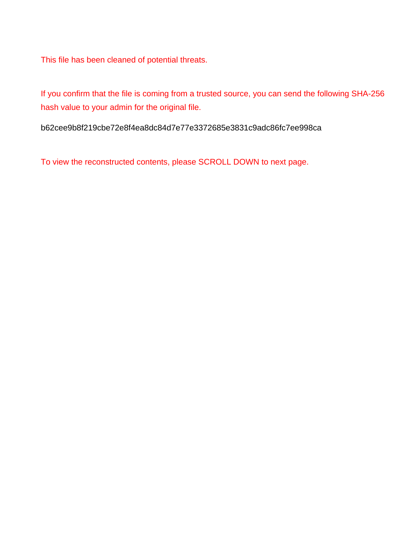This file has been cleaned of potential threats.

If you confirm that the file is coming from a trusted source, you can send the following SHA-256 hash value to your admin for the original file.

b62cee9b8f219cbe72e8f4ea8dc84d7e77e3372685e3831c9adc86fc7ee998ca

To view the reconstructed contents, please SCROLL DOWN to next page.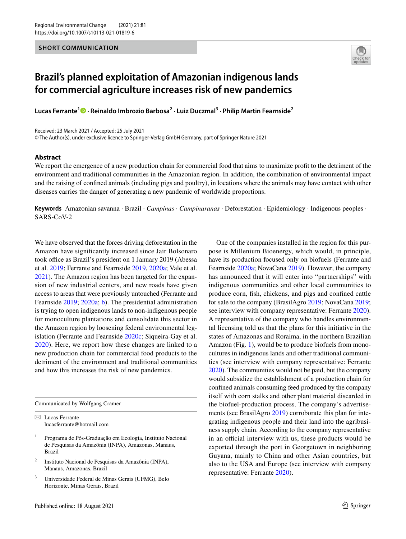## **SHORT COMMUNICATION**



## **Brazil's planned exploitation of Amazonian indigenous lands for commercial agriculture increases risk of new pandemics**

**Lucas Ferrante<sup>1</sup> · Reinaldo Imbrozio Barbosa2 · Luiz Duczmal3 · Philip Martin Fearnside2**

Received: 23 March 2021 / Accepted: 25 July 2021

© The Author(s), under exclusive licence to Springer-Verlag GmbH Germany, part of Springer Nature 2021

## **Abstract**

We report the emergence of a new production chain for commercial food that aims to maximize proft to the detriment of the environment and traditional communities in the Amazonian region. In addition, the combination of environmental impact and the raising of confned animals (including pigs and poultry), in locations where the animals may have contact with other diseases carries the danger of generating a new pandemic of worldwide proportions.

**Keywords** Amazonian savanna · Brazil · *Campinas* · *Campinaranas* · Deforestation · Epidemiology · Indigenous peoples · SARS-CoV-2

We have observed that the forces driving deforestation in the Amazon have signifcantly increased since Jair Bolsonaro took office as Brazil's president on 1 January 2019 (Abessa et al. [2019](#page-4-0); Ferrante and Fearnside [2019,](#page-4-1) [2020a;](#page-4-2) Vale et al. [2021](#page-5-0)). The Amazon region has been targeted for the expansion of new industrial centers, and new roads have given access to areas that were previously untouched (Ferrante and Fearnside [2019](#page-4-1); [2020a;](#page-4-2) [b](#page-5-1)). The presidential administration is trying to open indigenous lands to non-indigenous people for monoculture plantations and consolidate this sector in the Amazon region by loosening federal environmental legislation (Ferrante and Fearnside [2020c;](#page-5-2) Siqueira-Gay et al. [2020\)](#page-5-3). Here, we report how these changes are linked to a new production chain for commercial food products to the detriment of the environment and traditional communities and how this increases the risk of new pandemics.

Communicated by Wolfgang Cramer

 $\boxtimes$  Lucas Ferrante lucasferrante@hotmail.com

- <sup>1</sup> Programa de Pós-Graduação em Ecologia, Instituto Nacional de Pesquisas da Amazônia (INPA), Amazonas, Manaus, Brazil
- <sup>2</sup> Instituto Nacional de Pesquisas da Amazônia (INPA), Manaus, Amazonas, Brazil
- <sup>3</sup> Universidade Federal de Minas Gerais (UFMG), Belo Horizonte, Minas Gerais, Brazil

One of the companies installed in the region for this purpose is Millenium Bioenergy, which would, in principle, have its production focused only on biofuels (Ferrante and Fearnside [2020a;](#page-4-2) NovaCana [2019](#page-5-4)). However, the company has announced that it will enter into "partnerships" with indigenous communities and other local communities to produce corn, fsh, chickens, and pigs and confned cattle for sale to the company (BrasilAgro [2019;](#page-4-3) NovaCana [2019](#page-5-4); see interview with company representative: Ferrante [2020](#page-4-4)). A representative of the company who handles environmental licensing told us that the plans for this initiative in the states of Amazonas and Roraima, in the northern Brazilian Amazon (Fig. [1](#page-2-0)), would be to produce biofuels from monocultures in indigenous lands and other traditional communities (see interview with company representative: Ferrante [2020\)](#page-4-4). The communities would not be paid, but the company would subsidize the establishment of a production chain for confned animals consuming feed produced by the company itself with corn stalks and other plant material discarded in the biofuel-production process. The company's advertisements (see BrasilAgro [2019](#page-4-3)) corroborate this plan for integrating indigenous people and their land into the agribusiness supply chain. According to the company representative in an official interview with us, these products would be exported through the port in Georgetown in neighboring Guyana, mainly to China and other Asian countries, but also to the USA and Europe (see interview with company representative: Ferrante [2020\)](#page-4-4).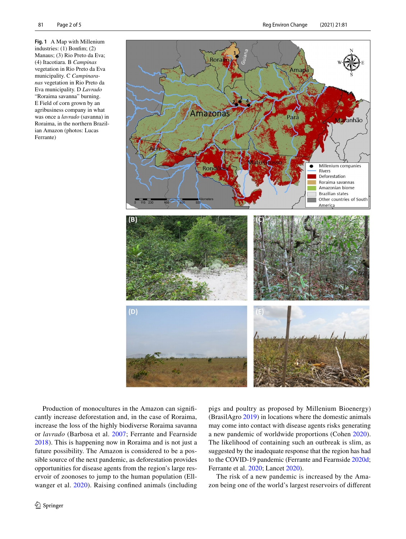<span id="page-2-0"></span>**Fig. 1** A Map with Millenium industries: (1) Bonfm; (2) Manaus; (3) Rio Preto da Eva; (4) Itacotiara. B *Campinas* vegetation in Rio Preto da Eva municipality. C *Campinaranas* vegetation in Rio Preto da Eva municipality. D *Lavrado* "Roraima savanna" burning. E Field of corn grown by an agribusiness company in what was once a *lavrado* (savanna) in Roraima, in the northern Brazilian Amazon (photos: Lucas Ferrante)



Production of monocultures in the Amazon can signifcantly increase deforestation and, in the case of Roraima, increase the loss of the highly biodiverse Roraima savanna or *lavrado* (Barbosa et al. [2007](#page-4-5); Ferrante and Fearnside [2018](#page-4-6)). This is happening now in Roraima and is not just a future possibility. The Amazon is considered to be a possible source of the next pandemic, as deforestation provides opportunities for disease agents from the region's large reservoir of zoonoses to jump to the human population (Ellwanger et al. [2020\)](#page-4-7). Raising confned animals (including pigs and poultry as proposed by Millenium Bioenergy) (BrasilAgro [2019\)](#page-4-3) in locations where the domestic animals may come into contact with disease agents risks generating a new pandemic of worldwide proportions (Cohen [2020](#page-4-8)). The likelihood of containing such an outbreak is slim, as suggested by the inadequate response that the region has had to the COVID-19 pandemic (Ferrante and Fearnside [2020d](#page-5-5); Ferrante et al. [2020;](#page-5-6) Lancet [2020\)](#page-5-7).

The risk of a new pandemic is increased by the Amazon being one of the world's largest reservoirs of diferent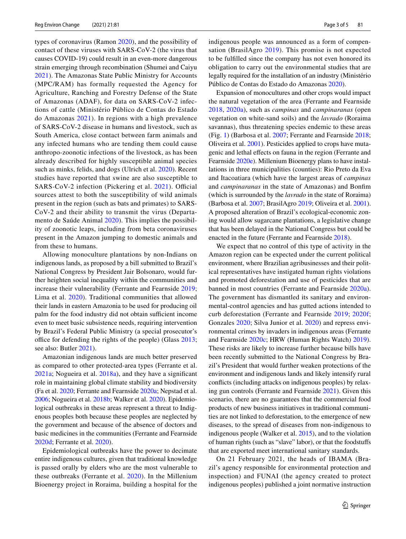types of coronavirus (Ramon [2020\)](#page-5-8), and the possibility of contact of these viruses with SARS-CoV-2 (the virus that causes COVID-19) could result in an even-more dangerous strain emerging through recombination (Shumei and Caiyu [2021\)](#page-5-9). The Amazonas State Public Ministry for Accounts (MPC/RAM) has formally requested the Agency for Agriculture, Ranching and Forestry Defense of the State of Amazonas (ADAF), for data on SARS-CoV-2 infections of cattle (Ministério Público de Contas do Estado do Amazonas [2021](#page-5-10)). In regions with a high prevalence of SARS-CoV-2 disease in humans and livestock, such as South America, close contact between farm animals and any infected humans who are tending them could cause anthropo-zoonotic infections of the livestock, as has been already described for highly susceptible animal species such as minks, felids, and dogs (Ulrich et al. [2020\)](#page-5-11). Recent studies have reported that swine are also susceptible to SARS-CoV-2 infection (Pickering et al. [2021\)](#page-5-12). Official sources attest to both the susceptibility of wild animals present in the region (such as bats and primates) to SARS-CoV-2 and their ability to transmit the virus (Departamento de Saúde Animal [2020](#page-4-9)). This implies the possibility of zoonotic leaps, including from beta coronaviruses present in the Amazon jumping to domestic animals and from these to humans.

Allowing monoculture plantations by non-Indians on indigenous lands, as proposed by a bill submitted to Brazil's National Congress by President Jair Bolsonaro, would further heighten social inequality within the communities and increase their vulnerability (Ferrante and Fearnside [2019](#page-4-1); Lima et al. [2020](#page-5-13)). Traditional communities that allowed their lands in eastern Amazonia to be used for producing oil palm for the food industry did not obtain sufficient income even to meet basic subsistence needs, requiring intervention by Brazil's Federal Public Ministry (a special prosecutor's office for defending the rights of the people) (Glass  $2013$ ; see also: Butler [2021\)](#page-4-10).

Amazonian indigenous lands are much better preserved as compared to other protected-area types (Ferrante et al. [2021a](#page-5-15); Nogueira et al. [2018a\)](#page-5-16), and they have a signifcant role in maintaining global climate stability and biodiversity (Fa et al. [2020;](#page-4-11) Ferrante and Fearnside [2020a](#page-4-2); Nepstad et al. [2006](#page-5-17); Nogueira et al. [2018b;](#page-5-18) Walker et al. [2020](#page-5-19)). Epidemiological outbreaks in these areas represent a threat to Indigenous peoples both because these peoples are neglected by the government and because of the absence of doctors and basic medicines in the communities (Ferrante and Fearnside [2020d](#page-5-5); Ferrante et al. [2020](#page-5-6)).

Epidemiological outbreaks have the power to decimate entire indigenous cultures, given that traditional knowledge is passed orally by elders who are the most vulnerable to these outbreaks (Ferrante et al. [2020](#page-5-6)). In the Millenium Bioenergy project in Roraima, building a hospital for the indigenous people was announced as a form of compensation (BrasilAgro [2019\)](#page-4-3). This promise is not expected to be fulflled since the company has not even honored its obligation to carry out the environmental studies that are legally required for the installation of an industry (Ministério Público de Contas do Estado do Amazonas [2020](#page-5-20)).

Expansion of monocultures and other crops would impact the natural vegetation of the area (Ferrante and Fearnside [2018,](#page-4-6) [2020a](#page-4-2)), such as *campinas* and *campinaranas* (open vegetation on white-sand soils) and the *lavrado* (Roraima savannas), thus threatening species endemic to these areas (Fig. [1](#page-2-0)) (Barbosa et al. [2007](#page-4-5); Ferrante and Fearnside [2018](#page-4-6); Oliveira et al. [2001](#page-5-21)). Pesticides applied to crops have mutagenic and lethal efects on fauna in the region (Ferrante and Fearnside [2020e](#page-5-22)). Millenium Bioenergy plans to have installations in three municipalities (counties): Rio Preto da Eva and Itacoatiara (which have the largest areas of *campinas* and *campinaranas* in the state of Amazonas) and Bonfm (which is surrounded by the *lavrado* in the state of Roraima) (Barbosa et al. [2007;](#page-4-5) BrasilAgro [2019](#page-4-3); Oliveira et al. [2001](#page-5-21)). A proposed alteration of Brazil's ecological-economic zoning would allow sugarcane plantations, a legislative change that has been delayed in the National Congress but could be enacted in the future (Ferrante and Fearnside [2018](#page-4-6)).

We expect that no control of this type of activity in the Amazon region can be expected under the current political environment, where Brazilian agribusinesses and their political representatives have instigated human rights violations and promoted deforestation and use of pesticides that are banned in most countries (Ferrante and Fearnside [2020a](#page-4-2)). The government has dismantled its sanitary and environmental-control agencies and has gutted actions intended to curb deforestation (Ferrante and Fearnside [2019;](#page-4-1) [2020f](#page-5-23); Gonzales [2020](#page-5-24); Silva Junior et al. [2020](#page-5-25)) and repress environmental crimes by invaders in indigenous areas (Ferrante and Fearnside [2020c](#page-5-2); HRW (Human Rights Watch) [2019](#page-5-26)). These risks are likely to increase further because bills have been recently submitted to the National Congress by Brazil's President that would further weaken protections of the environment and indigenous lands and likely intensify rural conficts (including attacks on indigenous peoples) by relaxing gun controls (Ferrante and Fearnside [2021\)](#page-5-27). Given this scenario, there are no guarantees that the commercial food products of new business initiatives in traditional communities are not linked to deforestation, to the emergence of new diseases, to the spread of diseases from non-indigenous to indigenous people (Walker et al. [2015](#page-5-28)), and to the violation of human rights (such as "slave" labor), or that the foodstufs that are exported meet international sanitary standards.

On 21 February 2021, the heads of IBAMA (Brazil's agency responsible for environmental protection and inspection) and FUNAI (the agency created to protect indigenous peoples) published a joint normative instruction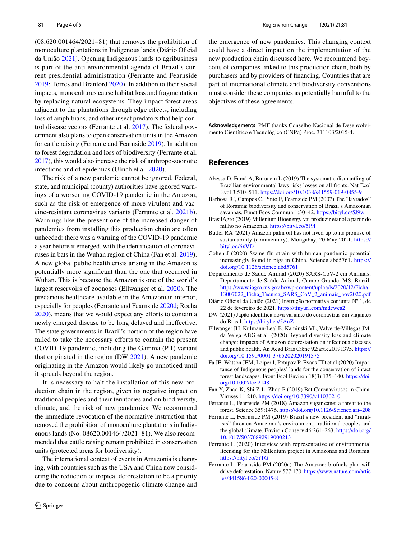(08,620.001464/2021–81) that removes the prohibition of monoculture plantations in Indigenous lands (Diário Oficial da União [2021\)](#page-4-12). Opening Indigenous lands to agribusiness is part of the anti-environmental agenda of Brazil's current presidential administration (Ferrante and Fearnside [2019](#page-4-1); Torres and Branford [2020](#page-5-29)). In addition to their social impacts, monocultures cause habitat loss and fragmentation by replacing natural ecosystems. They impact forest areas adjacent to the plantations through edge efects, including loss of amphibians, and other insect predators that help control disease vectors (Ferrante et al. [2017\)](#page-5-30). The federal government also plans to open conservation units in the Amazon for cattle raising (Ferrante and Fearnside [2019\)](#page-4-1). In addition to forest degradation and loss of biodiversity (Ferrante et al. [2017\)](#page-5-30), this would also increase the risk of anthropo-zoonotic infections and of epidemics (Ulrich et al. [2020](#page-5-11)).

The risk of a new pandemic cannot be ignored. Federal, state, and municipal (county) authorities have ignored warnings of a worsening COVID-19 pandemic in the Amazon, such as the risk of emergence of more virulent and vaccine-resistant coronavirus variants (Ferrante et al. [2021b](#page-5-31)). Warnings like the present one of the increased danger of pandemics from installing this production chain are often unheeded: there was a warning of the COVID-19 pandemic a year before it emerged, with the identifcation of coronaviruses in bats in the Wuhan region of China (Fan et al. [2019](#page-4-13)). A new global public health crisis arising in the Amazon is potentially more signifcant than the one that occurred in Wuhan. This is because the Amazon is one of the world's largest reservoirs of zoonoses (Ellwanger et al. [2020\)](#page-4-7). The precarious healthcare available in the Amazonian interior, especially for peoples (Ferrante and Fearnside [2020d](#page-5-5); Rocha [2020](#page-5-32)), means that we would expect any efforts to contain a newly emerged disease to be long delayed and inefective. The state governments in Brazil's portion of the region have failed to take the necessary efforts to contain the present COVID-19 pandemic, including the Gamma (P.1) variant that originated in the region (DW [2021](#page-4-14)). A new pandemic originating in the Amazon would likely go unnoticed until it spreads beyond the region.

It is necessary to halt the installation of this new production chain in the region, given its negative impact on traditional peoples and their territories and on biodiversity, climate, and the risk of new pandemics. We recommend the immediate revocation of the normative instruction that removed the prohibition of monoculture plantations in Indigenous lands (No. 08620.001464/2021–81). We also recommended that cattle raising remain prohibited in conservation units (protected areas for biodiversity).

The international context of events in Amazonia is changing, with countries such as the USA and China now considering the reduction of tropical deforestation to be a priority due to concerns about anthropogenic climate change and the emergence of new pandemics. This changing context could have a direct impact on the implementation of the new production chain discussed here. We recommend boycotts of companies linked to this production chain, both by purchasers and by providers of fnancing. Countries that are part of international climate and biodiversity conventions must consider these companies as potentially harmful to the objectives of these agreements.

**Acknowledgements** PMF thanks Conselho Nacional de Desenvolvimento Científco e Tecnológico (CNPq) Proc. 311103/2015-4.

## **References**

- <span id="page-4-0"></span>Abessa D, Famá A, Buruaem L (2019) The systematic dismantling of Brazilian environmental laws risks losses on all fronts. Nat Ecol Evol 3:510–511. https://doi.org/10.1038/s41559-019-0855-9
- <span id="page-4-5"></span>Barbosa RI, Campos C, Pinto F, Fearnside PM (2007) The "lavrados" of Roraima: biodiversity and conservation of Brazil's Amazonian savannas. Funct Ecos Commun 1:30–42. https://bityl.co/5J9w
- <span id="page-4-3"></span>BrasilAgro (2019) Millenium Bioenergy vai produzir etanol a partir do milho no Amazonas. https://bityl.co/5J9l
- <span id="page-4-10"></span>Butler RA (2021) Amazon palm oil has not lived up to its promise of sustainability (commentary). Mongabay, 20 May 2021. https:// bityl.co/6xVD
- <span id="page-4-8"></span>Cohen J (2020) Swine flu strain with human pandemic potential increasingly found in pigs in China. Science abd5761. https:// doi.org/10.1126/science.abd5761
- <span id="page-4-9"></span>Departamento de Saúde Animal (2020) SARS-CoV-2 em Animais. Departamento de Saúde Animal, Campo Grande, MS, Brazil. https://www.iagro.ms.gov.br/wp-content/uploads/2020/12/Ficha\_ 13007022\_Ficha\_Tecnica\_SARS\_CoV\_2\_animais\_nov2020.pdf
- <span id="page-4-12"></span>Diário Ofcial da União (2021) Instrução normativa conjunta Nº 1, de 22 de fevereiro de 2021. https://tinyurl.com/mdcwca2
- <span id="page-4-14"></span>DW (2021) Japão identifca nova variante do coronavírus em viajantes do Brasil. https://bityl.co/5AuZ
- <span id="page-4-7"></span>Ellwanger JH, Kulmann-Leal B, Kaminski VL, Valverde-Villegas JM, da Veiga ABG et al (2020) Beyond diversity loss and climate change: impacts of Amazon deforestation on infectious diseases and public health. An Acad Bras Ciênc 92:art.e20191375. https:// doi.org/10.1590/0001-3765202020191375
- <span id="page-4-11"></span>Fa JE, Watson JEM, Leiper I, Potapov P, Evans TD et al (2020) Importance of Indigenous peoples' lands for the conservation of intact forest landscapes. Front Ecol Environ 18(3):135–140. https://doi. org/10.1002/fee.2148
- <span id="page-4-13"></span>Fan Y, Zhao K, Shi Z-L, Zhou P (2019) Bat Coronaviruses in China. Viruses 11:210. https://doi.org/10.3390/v11030210
- <span id="page-4-6"></span>Ferrante L, Fearnside PM (2018) Amazon sugar cane: a threat to the forest. Science 359:1476. https://doi.org/10.1126/Science.aat4208
- <span id="page-4-1"></span>Ferrante L, Fearnside PM (2019) Brazil's new president and "ruralists" threaten Amazonia's environment, traditional peoples and the global climate. Environ Conserv 46:261–263. https://doi.org/ 10.1017/S0376892919000213
- <span id="page-4-4"></span>Ferrante L (2020) Interview with representative of environmental licensing for the Millenium project in Amazonas and Roraima. https://bityl.co/5rTG
- <span id="page-4-2"></span>Ferrante L, Fearnside PM (2020a) The Amazon: biofuels plan will drive deforestation. Nature 577:170. https://www.nature.com/artic les/d41586-020-00005-8